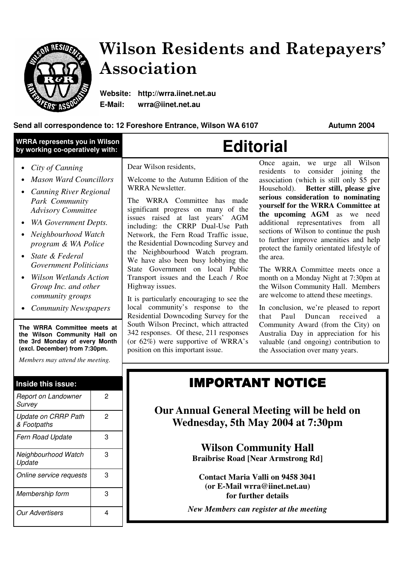

*Membership form* 3

*Online service requests* 3

*Our Advertisers* 4

# Wilson Residents and Ratepayers' Association

**Website: http://wrra.iinet.net.au E-Mail: wrra@iinet.net.au**

### **Send all correspondence to: 12 Foreshore Entrance, Wilson WA 6107 Autumn 2004**

| <b>WRRA represents you in Wilson</b><br>by working co-operatively with:                                                                                                                                                                                                                                                                                                                                                                                                                                                                                   | <b>Editorial</b>                                                                                                                                                                                                                                                                                                                                                                                                                                                                                                                                                                                                                                                                                                                                                                                                                                                                                                                                                                                                                                                                                                                                                                                                                                                                                                                                                                                                                                                                                                                                                                                                                                                         |
|-----------------------------------------------------------------------------------------------------------------------------------------------------------------------------------------------------------------------------------------------------------------------------------------------------------------------------------------------------------------------------------------------------------------------------------------------------------------------------------------------------------------------------------------------------------|--------------------------------------------------------------------------------------------------------------------------------------------------------------------------------------------------------------------------------------------------------------------------------------------------------------------------------------------------------------------------------------------------------------------------------------------------------------------------------------------------------------------------------------------------------------------------------------------------------------------------------------------------------------------------------------------------------------------------------------------------------------------------------------------------------------------------------------------------------------------------------------------------------------------------------------------------------------------------------------------------------------------------------------------------------------------------------------------------------------------------------------------------------------------------------------------------------------------------------------------------------------------------------------------------------------------------------------------------------------------------------------------------------------------------------------------------------------------------------------------------------------------------------------------------------------------------------------------------------------------------------------------------------------------------|
| City of Canning<br>$\bullet$<br><b>Mason Ward Councillors</b><br><b>Canning River Regional</b><br>Park Community<br><b>Advisory Committee</b><br><b>WA Government Depts.</b><br>Neighbourhood Watch<br>program & WA Police<br>State & Federal<br><b>Government Politicians</b><br><b>Wilson Wetlands Action</b><br>Group Inc. and other<br>community groups<br>• Community Newspapers<br>The WRRA Committee meets at<br>the Wilson Community Hall on<br>the 3rd Monday of every Month<br>(excl. December) from 7:30pm.<br>Members may attend the meeting. | we urge all Wilson<br>Once again,<br>Dear Wilson residents,<br>consider joining<br>residents to<br>the<br>Welcome to the Autumn Edition of the<br>association (which is still only \$5 per<br>WRRA Newsletter.<br>Better still, please give<br>Household).<br>serious consideration to nominating<br>The WRRA Committee has made<br>yourself for the WRRA Committee at<br>significant progress on many of the<br>the upcoming AGM as we need<br>issues raised at last years' AGM<br>additional representatives from all<br>including: the CRRP Dual-Use Path<br>sections of Wilson to continue the push<br>Network, the Fern Road Traffic issue,<br>to further improve amenities and help<br>the Residential Downcoding Survey and<br>protect the family orientated lifestyle of<br>the Neighbourhood Watch program.<br>the area.<br>We have also been busy lobbying the<br>State Government on local Public<br>The WRRA Committee meets once a<br>Transport issues and the Leach / Roe<br>month on a Monday Night at 7:30pm at<br>Highway issues.<br>the Wilson Community Hall. Members<br>are welcome to attend these meetings.<br>It is particularly encouraging to see the<br>local community's response to the<br>In conclusion, we're pleased to report<br>Residential Downcoding Survey for the<br>Paul Duncan received a<br>that<br>South Wilson Precinct, which attracted<br>Community Award (from the City) on<br>342 responses. Of these, 211 responses<br>Australia Day in appreciation for his<br>(or $62\%$ ) were supportive of WRRA's<br>valuable (and ongoing) contribution to<br>position on this important issue.<br>the Association over many years. |
| Inside this issue:<br>Report on Landowner<br>$\overline{2}$                                                                                                                                                                                                                                                                                                                                                                                                                                                                                               | <b>IMPORTANT NOTICE</b>                                                                                                                                                                                                                                                                                                                                                                                                                                                                                                                                                                                                                                                                                                                                                                                                                                                                                                                                                                                                                                                                                                                                                                                                                                                                                                                                                                                                                                                                                                                                                                                                                                                  |
| Survey<br>$\overline{2}$<br><b>Update on CRRP Path</b><br>& Footpaths                                                                                                                                                                                                                                                                                                                                                                                                                                                                                     | <b>Our Annual General Meeting will be held on</b><br>Wednesday, 5th May 2004 at 7:30pm                                                                                                                                                                                                                                                                                                                                                                                                                                                                                                                                                                                                                                                                                                                                                                                                                                                                                                                                                                                                                                                                                                                                                                                                                                                                                                                                                                                                                                                                                                                                                                                   |
| 3<br>Fern Road Update<br>3                                                                                                                                                                                                                                                                                                                                                                                                                                                                                                                                | <b>Wilson Community Hall</b>                                                                                                                                                                                                                                                                                                                                                                                                                                                                                                                                                                                                                                                                                                                                                                                                                                                                                                                                                                                                                                                                                                                                                                                                                                                                                                                                                                                                                                                                                                                                                                                                                                             |
| Neighbourhood Watch<br>Update                                                                                                                                                                                                                                                                                                                                                                                                                                                                                                                             | <b>Braibrise Road [Near Armstrong Rd]</b>                                                                                                                                                                                                                                                                                                                                                                                                                                                                                                                                                                                                                                                                                                                                                                                                                                                                                                                                                                                                                                                                                                                                                                                                                                                                                                                                                                                                                                                                                                                                                                                                                                |

**Contact Maria Valli on 9458 3041 (or E-Mail wrra@iinet.net.au) for further details**

*New Members can register at the meeting*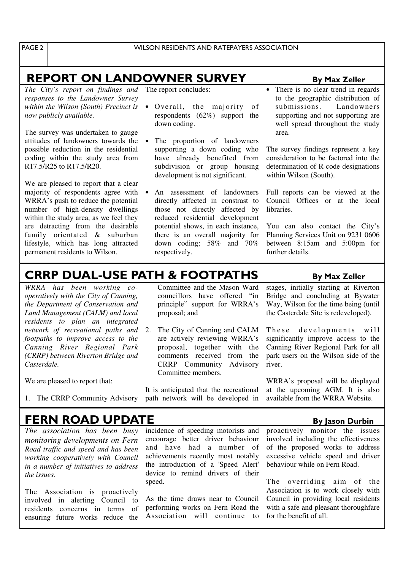PAGE<sub>2</sub>

# <u>REPORT ON LANDOWNER SURVE</u>

*The City's report on findings and* The report concludes: *responses to the Landowner Survey within the Wilson (South) Precinct is now publicly available.*

The survey was undertaken to gauge attitudes of landowners towards the possible reduction in the residential coding within the study area from R17.5/R25 to R17.5/R20.

We are pleased to report that a clear majority of respondents agree with WRRA's push to reduce the potential number of high-density dwellings within the study area, as we feel they are detracting from the desirable family orientated & suburban lifestyle, which has long attracted permanent residents to Wilson.

Overall, the majority of respondents (62%) support the

down coding.

- The proportion of landowners supporting a down coding who have already benefited from subdivision or group housing development is not significant.
- An assessment of landowners directly affected in constrast to those not directly affected by reduced residential development potential shows, in each instance, there is an overall majority for down coding; 58% and 70% respectively.

#### **By Max Zeller**

There is no clear trend in regards to the geographic distribution of submissions. Landowners supporting and not supporting are well spread throughout the study area.

The survey findings represent a key consideration to be factored into the determination of R-code designations within Wilson (South).

Full reports can be viewed at the Council Offices or at the local libraries.

You can also contact the City's Planning Services Unit on 9231 0606 between 8:15am and 5:00pm for further details.

# CRRP DUAL-USE PATH & FOOTPATHS By Max Zeller

*WRRA has been working cooperatively with the City of Canning, the Department of Conservation and Land Management (CALM) and local residents to plan an integrated network of recreational paths and* 2. The City of Canning and CALM *footpaths to improve access to the Canning River Regional Park (CRRP) between Riverton Bridge and Casterdale.*

We are pleased to report that:

1. The CRRP Community Advisory

Committee and the Mason Ward councillors have offered "in principle" support for WRRA's proposal; and

are actively reviewing WRRA's proposal, together with the comments received from the CRRP Community Advisory Committee members.

It is anticipated that the recreational path network will be developed in stages, initially starting at Riverton Bridge and concluding at Bywater Way, Wilson for the time being (until the Casterdale Site is redeveloped).

These developments will significantly improve access to the Canning River Regional Park for all park users on the Wilson side of the river.

WRRA's proposal will be displayed at the upcoming AGM. It is also available from the WRRA Website.

## <u>FERN ROAD UPDATE</u>

*The association has been busy monitoring developments on Fern Road traffic and speed and has been working cooperatively with Council in a number of initiatives to address the issues.*

The Association is proactively involved in alerting Council to residents concerns in terms of ensuring future works reduce the

incidence of speeding motorists and encourage better driver behaviour and have had a number of achievements recently most notably the introduction of a 'Speed Alert' device to remind drivers of their speed.

As the time draws near to Council performing works on Fern Road the Association will continue to

#### <u>" By Jason Durbin (1998) By Samman Burbin (1998) By Jason Durbin (1998)</u>

proactively monitor the issues involved including the effectiveness of the proposed works to address excessive vehicle speed and driver behaviour while on Fern Road.

The overriding aim of the Association is to work closely with Council in providing local residents with a safe and pleasant thoroughfare for the benefit of all.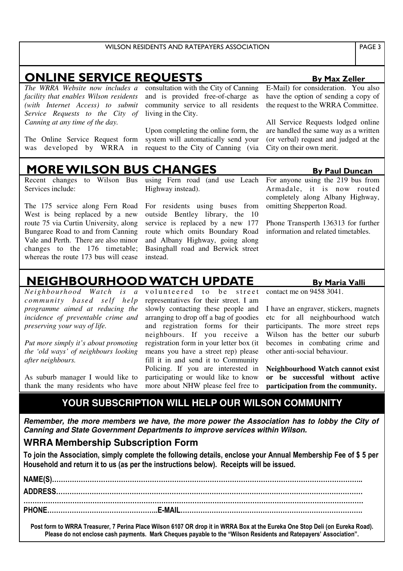### ONLINE SERVICE REQUESTS By Max Zeller

*The WRRA Website now includes a facility that enables Wilson residents (with Internet Access) to submit Service Requests to the City of Canning at any time of the day.*

The Online Service Request form was developed by WRRA in consultation with the City of Canning and is provided free-of-charge as community service to all residents living in the City.

Upon completing the online form, the system will automatically send your request to the City of Canning (via E-Mail) for consideration. You also have the option of sending a copy of the request to the WRRA Committee.

All Service Requests lodged online are handled the same way as a written (or verbal) request and judged at the City on their own merit.

## <u>MORE WILSON BUS CHAN</u>

Recent changes to Wilson Bus Services include:

The 175 service along Fern Road West is being replaced by a new route 75 via Curtin University, along Bungaree Road to and from Canning Vale and Perth. There are also minor changes to the 176 timetable; whereas the route 173 bus will cease

using Fern road (and use Leach Highway instead).

For residents using buses from outside Bentley library, the 10 service is replaced by a new 177 route which omits Boundary Road and Albany Highway, going along Basinghall road and Berwick street instead.

**By Paul Duncan** For anyone using the 219 bus from Armadale, it is now routed completely along Albany Highway, omitting Shepperton Road.

Phone Transperth 136313 for further information and related timetables.

### **NEIGHBOURHOOD WATCH UPDATE** By Maria Valli

*Neighbourhood Watch is a communit y based self help programme aimed at reducing the incidence of preventable crime and preserving your way of life.*

*Put more simply it's about promoting the 'old ways' of neighbours looking after neighbours.*

As suburb manager I would like to thank the many residents who have

volunteered to be street representatives for their street. I am slowly contacting these people and arranging to drop off a bag of goodies and registration forms for their neighbours. If you receive a registration form in your letter box (it means you have a street rep) please fill it in and send it to Community Policing. If you are interested in participating or would like to know more about NHW please feel free to

contact me on 9458 3041.

I have an engraver, stickers, magnets etc for all neighbourhood watch participants. The more street reps Wilson has the better our suburb becomes in combating crime and other anti-social behaviour.

**Neighbourhood Watch cannot exist or be successful without active participation from the community.**

### **YOUR SUBSCRIPTION WILL HELP OUR WILSON COMMUNITY**

*Remember, the more members we have, the more power the Association has to lobby the City of Canning and State Government Departments to improve services within Wilson.*

### **WRRA Membership Subscription Form**

To join the Association, simply complete the following details, enclose your Annual Membership Fee of \$ 5 per Household and return it to us (as per the instructions below). Receipts will be issued.

# \$ % & & & & & & & & & & & & & & & & & & & & & & & & & & & & & & & & & & & & & & & & & & & & & & !! ' ' " \$ % % & & & & & & & & & & & & & & & & & & & & & & & & & & & & & & & & & & & & & & & & & & & & & & & & & & & & & & & & & & & & & & & & & & & & & & & & & & & & & & & & & & & & & & & & & & & & & & & & & ( ) # \$ & & & & & & & & & & & & & & & & !!\$ \* +, & & & & & & & & & & & & & & & & & & & & & & & & & & & !

Post form to WRRA Treasurer, 7 Perina Place Wilson 6107 OR drop it in WRRA Box at the Eureka One Stop Deli (on Eureka Road). Please do not enclose cash payments. Mark Cheques payable to the "Wilson Residents and Ratepayers' Association".